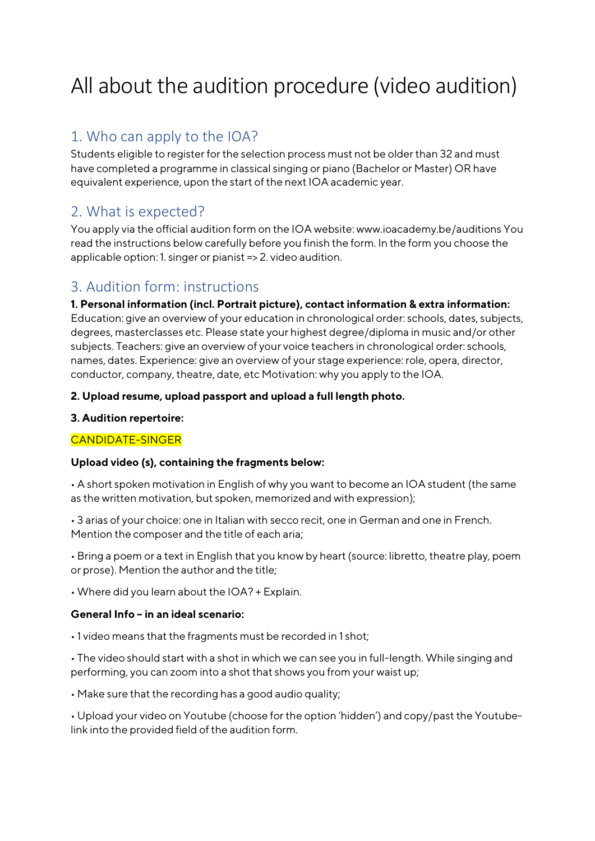# All about the audition procedure (video audition)

## 1. Who can apply to the IOA?

Students eligible to register for the selection process must not be older than 32 and must have completed a programme in classical singing or piano (Bachelor or Master) OR have equivalent experience, upon the start of the next IOA academic year.

## 2. What is expected?

You apply via the official audition form on the IOA website: www.ioacademy.be/auditions You read the instructions below carefully before you finish the form. In the form you choose the applicable option: 1. singer or pianist => 2. video audition.

## 3. Audition form: instructions

1. Personal information (incl. Portrait picture), contact information & extra information: Education: give an overview of your education in chronological order: schools, dates, subjects, degrees, masterclasses etc. Please state your highest degree/diploma in music and/or other subjects. Teachers: give an overview of your voice teachers in chronological order: schools, names, dates. Experience: give an overview of your stage experience: role, opera, director, conductor, company, theatre, date, etc Motivation: why you apply to the IOA.

#### 2. Upload resume, upload passport and upload a full length photo.

#### 3. Audition repertoire:

#### CANDIDATE-SINGER

#### Upload video (s), containing the fragments below:

• A short spoken motivation in English of why you want to become an IOA student (the same as the written motivation, but spoken, memorized and with expression);

• 3 arias of your choice: one in Italian with secco recit, one in German and one in French. Mention the composer and the title of each aria;

• Bring a poem or a text in English that you know by heart (source: libretto, theatre play, poem or prose). Mention the author and the title;

• Where did you learn about the IOA? + Explain.

#### General Info – in an ideal scenario:

• 1 video means that the fragments must be recorded in 1 shot;

• The video should start with a shot in which we can see you in full-length. While singing and performing, you can zoom into a shot that shows you from your waist up;

• Make sure that the recording has a good audio quality;

• Upload your video on Youtube (choose for the option 'hidden') and copy/past the Youtubelink into the provided field of the audition form.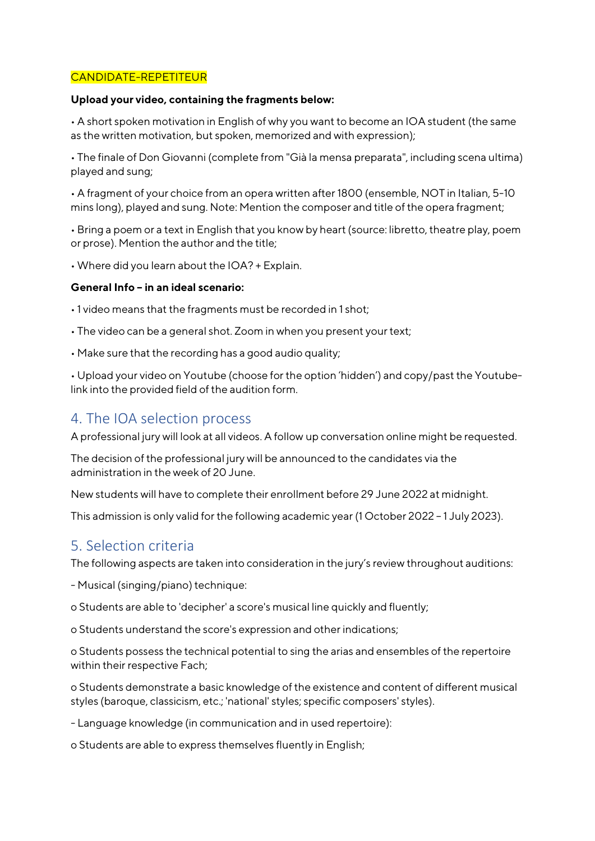#### CANDIDATE-REPETITEUR

#### Upload your video, containing the fragments below:

• A short spoken motivation in English of why you want to become an IOA student (the same as the written motivation, but spoken, memorized and with expression);

• The finale of Don Giovanni (complete from "Già la mensa preparata", including scena ultima) played and sung;

• A fragment of your choice from an opera written after 1800 (ensemble, NOT in Italian, 5-10 mins long), played and sung. Note: Mention the composer and title of the opera fragment;

• Bring a poem or a text in English that you know by heart (source: libretto, theatre play, poem or prose). Mention the author and the title;

• Where did you learn about the IOA? + Explain.

#### General Info – in an ideal scenario:

• 1 video means that the fragments must be recorded in 1 shot;

- The video can be a general shot. Zoom in when you present your text;
- Make sure that the recording has a good audio quality;

• Upload your video on Youtube (choose for the option 'hidden') and copy/past the Youtubelink into the provided field of the audition form.

#### 4. The IOA selection process

A professional jury will look at all videos. A follow up conversation online might be requested.

The decision of the professional jury will be announced to the candidates via the administration in the week of 20 June.

New students will have to complete their enrollment before 29 June 2022 at midnight.

This admission is only valid for the following academic year (1 October 2022 – 1 July 2023).

### 5. Selection criteria

The following aspects are taken into consideration in the jury's review throughout auditions:

- Musical (singing/piano) technique:

o Students are able to 'decipher' a score's musical line quickly and fluently;

o Students understand the score's expression and other indications;

o Students possess the technical potential to sing the arias and ensembles of the repertoire within their respective Fach;

o Students demonstrate a basic knowledge of the existence and content of different musical styles (baroque, classicism, etc.; 'national' styles; specific composers' styles).

- Language knowledge (in communication and in used repertoire):

o Students are able to express themselves fluently in English;